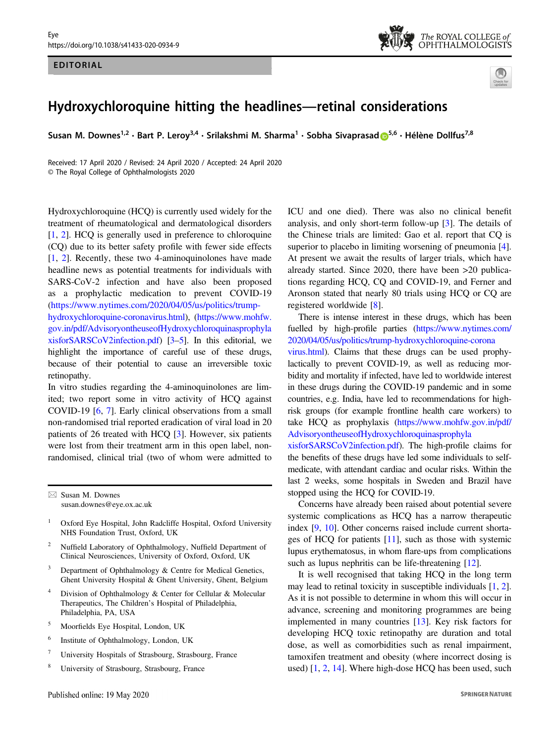

## Hydroxychloroquine hitting the headlines—retinal considerations

Susan M. Downes<sup>1,2</sup> • Bart P. Lerov<sup>3,4</sup> • Srilakshmi M. Sharma<sup>1</sup> • Sobha Sivaprasa[d](http://orcid.org/0000-0001-8952-0659) D<sup>[5](http://orcid.org/0000-0001-8952-0659),6</sup> • Hélène Dollfus<sup>7,8</sup>

Received: 17 April 2020 / Revised: 24 April 2020 / Accepted: 24 April 2020 © The Royal College of Ophthalmologists 2020

Hydroxychloroquine (HCQ) is currently used widely for the treatment of rheumatological and dermatological disorders [\[1](#page-1-0), [2](#page-1-0)]. HCQ is generally used in preference to chloroquine (CQ) due to its better safety profile with fewer side effects [\[1](#page-1-0), [2\]](#page-1-0). Recently, these two 4-aminoquinolones have made headline news as potential treatments for individuals with SARS-CoV-2 infection and have also been proposed as a prophylactic medication to prevent COVID-19 [\(https://www.nytimes.com/2020/04/05/us/politics/trump](https://www.nytimes.com/2020/04/05/us/politics/trump-hydroxychloroquine-coronavirus.html)[hydroxychloroquine-coronavirus.html\)](https://www.nytimes.com/2020/04/05/us/politics/trump-hydroxychloroquine-coronavirus.html), ([https://www.mohfw.](https://www.mohfw.gov.in/pdf/AdvisoryontheuseofHydroxychloroquinasprophylaxisforSARSCoV2infection.pdf) [gov.in/pdf/AdvisoryontheuseofHydroxychloroquinasprophyla](https://www.mohfw.gov.in/pdf/AdvisoryontheuseofHydroxychloroquinasprophylaxisforSARSCoV2infection.pdf) [xisforSARSCoV2infection.pdf](https://www.mohfw.gov.in/pdf/AdvisoryontheuseofHydroxychloroquinasprophylaxisforSARSCoV2infection.pdf)) [\[3](#page-1-0)–[5](#page-1-0)]. In this editorial, we highlight the importance of careful use of these drugs, because of their potential to cause an irreversible toxic retinopathy.

In vitro studies regarding the 4-aminoquinolones are limited; two report some in vitro activity of HCQ against COVID-19 [\[6](#page-1-0), [7](#page-1-0)]. Early clinical observations from a small non-randomised trial reported eradication of viral load in 20 patients of 26 treated with HCQ [[3\]](#page-1-0). However, six patients were lost from their treatment arm in this open label, nonrandomised, clinical trial (two of whom were admitted to

 $\boxtimes$  Susan M. Downes [susan.downes@eye.ox.ac.uk](mailto:susan.downes@eye.ox.ac.uk)

- <sup>1</sup> Oxford Eye Hospital, John Radcliffe Hospital, Oxford University NHS Foundation Trust, Oxford, UK
- <sup>2</sup> Nuffield Laboratory of Ophthalmology, Nuffield Department of Clinical Neurosciences, University of Oxford, Oxford, UK
- <sup>3</sup> Department of Ophthalmology & Centre for Medical Genetics, Ghent University Hospital & Ghent University, Ghent, Belgium
- <sup>4</sup> Division of Ophthalmology & Center for Cellular & Molecular Therapeutics, The Children's Hospital of Philadelphia, Philadelphia, PA, USA
- <sup>5</sup> Moorfields Eye Hospital, London, UK
- <sup>6</sup> Institute of Ophthalmology, London, UK
- <sup>7</sup> University Hospitals of Strasbourg, Strasbourg, France
- <sup>8</sup> University of Strasbourg, Strasbourg, France

ICU and one died). There was also no clinical benefit analysis, and only short-term follow-up [[3\]](#page-1-0). The details of the Chinese trials are limited: Gao et al. report that CQ is superior to placebo in limiting worsening of pneumonia [[4\]](#page-1-0). At present we await the results of larger trials, which have already started. Since 2020, there have been >20 publications regarding HCQ, CQ and COVID-19, and Ferner and Aronson stated that nearly 80 trials using HCQ or CQ are registered worldwide [\[8](#page-1-0)].

There is intense interest in these drugs, which has been fuelled by high-profile parties ([https://www.nytimes.com/](https://www.nytimes.com/2020/04/05/us/politics/trump-hydroxychloroquine-coronavirus.html) [2020/04/05/us/politics/trump-hydroxychloroquine-corona](https://www.nytimes.com/2020/04/05/us/politics/trump-hydroxychloroquine-coronavirus.html)

[virus.html\)](https://www.nytimes.com/2020/04/05/us/politics/trump-hydroxychloroquine-coronavirus.html). Claims that these drugs can be used prophylactically to prevent COVID-19, as well as reducing morbidity and mortality if infected, have led to worldwide interest in these drugs during the COVID-19 pandemic and in some countries, e.g. India, have led to recommendations for highrisk groups (for example frontline health care workers) to take HCQ as prophylaxis ([https://www.mohfw.gov.in/pdf/](https://www.mohfw.gov.in/pdf/AdvisoryontheuseofHydroxychloroquinasprophylaxisforSARSCoV2infection.pdf) [AdvisoryontheuseofHydroxychloroquinasprophyla](https://www.mohfw.gov.in/pdf/AdvisoryontheuseofHydroxychloroquinasprophylaxisforSARSCoV2infection.pdf)

[xisforSARSCoV2infection.pdf\)](https://www.mohfw.gov.in/pdf/AdvisoryontheuseofHydroxychloroquinasprophylaxisforSARSCoV2infection.pdf). The high-profile claims for the benefits of these drugs have led some individuals to selfmedicate, with attendant cardiac and ocular risks. Within the last 2 weeks, some hospitals in Sweden and Brazil have stopped using the HCQ for COVID-19.

Concerns have already been raised about potential severe systemic complications as HCQ has a narrow therapeutic index [\[9](#page-1-0), [10](#page-1-0)]. Other concerns raised include current shortages of HCQ for patients [[11\]](#page-1-0), such as those with systemic lupus erythematosus, in whom flare-ups from complications such as lupus nephritis can be life-threatening [[12\]](#page-1-0).

It is well recognised that taking HCQ in the long term may lead to retinal toxicity in susceptible individuals [\[1](#page-1-0), [2\]](#page-1-0). As it is not possible to determine in whom this will occur in advance, screening and monitoring programmes are being implemented in many countries [[13\]](#page-1-0). Key risk factors for developing HCQ toxic retinopathy are duration and total dose, as well as comorbidities such as renal impairment, tamoxifen treatment and obesity (where incorrect dosing is used) [\[1](#page-1-0), [2](#page-1-0), [14](#page-2-0)]. Where high-dose HCQ has been used, such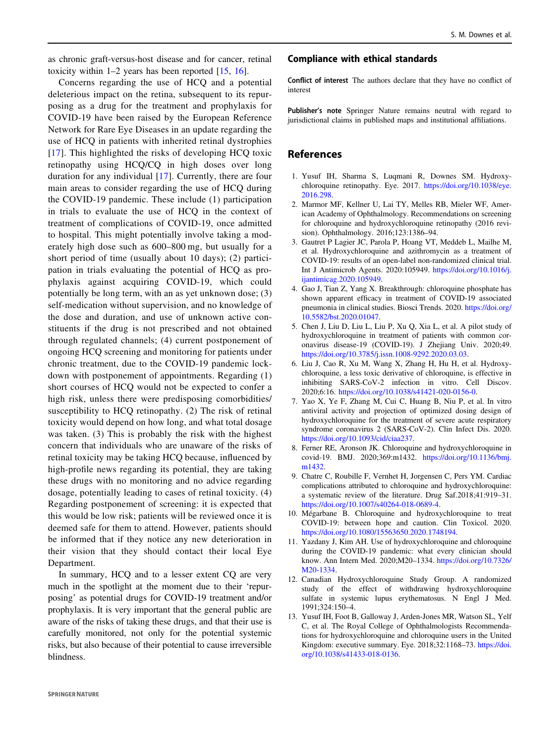<span id="page-1-0"></span>as chronic graft-versus-host disease and for cancer, retinal toxicity within  $1-2$  years has been reported  $[15, 16]$  $[15, 16]$  $[15, 16]$  $[15, 16]$ .

Concerns regarding the use of HCQ and a potential deleterious impact on the retina, subsequent to its repurposing as a drug for the treatment and prophylaxis for COVID-19 have been raised by the European Reference Network for Rare Eye Diseases in an update regarding the use of HCQ in patients with inherited retinal dystrophies [\[17\]](#page-2-0). This highlighted the risks of developing HCQ toxic retinopathy using HCQ/CQ in high doses over long duration for any individual [[17](#page-2-0)]. Currently, there are four main areas to consider regarding the use of HCQ during the COVID-19 pandemic. These include (1) participation in trials to evaluate the use of HCQ in the context of treatment of complications of COVID-19, once admitted to hospital. This might potentially involve taking a moderately high dose such as 600–800 mg, but usually for a short period of time (usually about 10 days); (2) participation in trials evaluating the potential of HCQ as prophylaxis against acquiring COVID-19, which could potentially be long term, with an as yet unknown dose; (3) self-medication without supervision, and no knowledge of the dose and duration, and use of unknown active constituents if the drug is not prescribed and not obtained through regulated channels; (4) current postponement of ongoing HCQ screening and monitoring for patients under chronic treatment, due to the COVID-19 pandemic lockdown with postponement of appointments. Regarding (1) short courses of HCQ would not be expected to confer a high risk, unless there were predisposing comorbidities/ susceptibility to HCQ retinopathy. (2) The risk of retinal toxicity would depend on how long, and what total dosage was taken. (3) This is probably the risk with the highest concern that individuals who are unaware of the risks of retinal toxicity may be taking HCQ because, influenced by high-profile news regarding its potential, they are taking these drugs with no monitoring and no advice regarding dosage, potentially leading to cases of retinal toxicity. (4) Regarding postponement of screening: it is expected that this would be low risk; patients will be reviewed once it is deemed safe for them to attend. However, patients should be informed that if they notice any new deterioration in their vision that they should contact their local Eye Department.

In summary, HCQ and to a lesser extent CQ are very much in the spotlight at the moment due to their 'repurposing' as potential drugs for COVID-19 treatment and/or prophylaxis. It is very important that the general public are aware of the risks of taking these drugs, and that their use is carefully monitored, not only for the potential systemic risks, but also because of their potential to cause irreversible blindness.

## Compliance with ethical standards

Conflict of interest The authors declare that they have no conflict of interest

Publisher's note Springer Nature remains neutral with regard to jurisdictional claims in published maps and institutional affiliations.

## References

- 1. Yusuf IH, Sharma S, Luqmani R, Downes SM. Hydroxychloroquine retinopathy. Eye. 2017. [https://doi.org/10.1038/eye.](https://doi.org/10.1038/eye.2016.298) [2016.298.](https://doi.org/10.1038/eye.2016.298)
- 2. Marmor MF, Kellner U, Lai TY, Melles RB, Mieler WF, American Academy of Ophthalmology. Recommendations on screening for chloroquine and hydroxychloroquine retinopathy (2016 revision). Ophthalmology. 2016;123:1386–94.
- 3. Gautret P Lagier JC, Parola P, Hoang VT, Meddeb L, Mailhe M, et al. Hydroxychloroquine and azithromycin as a treatment of COVID-19: results of an open-label non-randomized clinical trial. Int J Antimicrob Agents. 2020:105949. [https://doi.org/10.1016/j.](https://doi.org/10.1016/j.ijantimicag.2020.105949) [ijantimicag.2020.105949](https://doi.org/10.1016/j.ijantimicag.2020.105949).
- 4. Gao J, Tian Z, Yang X. Breakthrough: chloroquine phosphate has shown apparent efficacy in treatment of COVID-19 associated pneumonia in clinical studies. Biosci Trends. 2020. [https://doi.org/](https://doi.org/10.5582/bst.2020.01047) [10.5582/bst.2020.01047.](https://doi.org/10.5582/bst.2020.01047)
- 5. Chen J, Liu D, Liu L, Liu P, Xu Q, Xia L, et al. A pilot study of hydroxychloroquine in treatment of patients with common coronavirus disease-19 (COVID-19). J Zhejiang Univ. 2020;49. [https://doi.org/10.3785/j.issn.1008-9292.2020.03.03.](https://doi.org/10.3785/j.issn.1008-9292.2020.03.03)
- 6. Liu J, Cao R, Xu M, Wang X, Zhang H, Hu H, et al. Hydroxychloroquine, a less toxic derivative of chloroquine, is effective in inhibiting SARS-CoV-2 infection in vitro. Cell Discov. 2020;6:16. <https://doi.org/10.1038/s41421-020-0156-0>.
- 7. Yao X, Ye F, Zhang M, Cui C, Huang B, Niu P, et al. In vitro antiviral activity and projection of optimized dosing design of hydroxychloroquine for the treatment of severe acute respiratory syndrome coronavirus 2 (SARS-CoV-2). Clin Infect Dis. 2020. <https://doi.org/10.1093/cid/ciaa237>.
- 8. Ferner RE, Aronson JK. Chloroquine and hydroxychloroquine in covid-19. BMJ. 2020;369:m1432. [https://doi.org/10.1136/bmj.](https://doi.org/10.1136/bmj.m1432) [m1432](https://doi.org/10.1136/bmj.m1432).
- 9. Chatre C, Roubille F, Vernhet H, Jorgensen C, Pers YM. Cardiac complications attributed to chloroquine and hydroxychloroquine: a systematic review of the literature. Drug Saf.2018;41:919–31. [https://doi.org/10.1007/s40264-018-0689-4.](https://doi.org/10.1007/s40264-018-0689-4)
- 10. Mégarbane B. Chloroquine and hydroxychloroquine to treat COVID-19: between hope and caution. Clin Toxicol. 2020. <https://doi.org/10.1080/15563650.2020.1748194>.
- 11. Yazdany J, Kim AH. Use of hydroxychloroquine and chloroquine during the COVID-19 pandemic: what every clinician should know. Ann Intern Med. 2020;M20–1334. [https://doi.org/10.7326/](https://doi.org/10.7326/M20-1334) [M20-1334.](https://doi.org/10.7326/M20-1334)
- 12. Canadian Hydroxychloroquine Study Group. A randomized study of the effect of withdrawing hydroxychloroquine sulfate in systemic lupus erythematosus. N Engl J Med. 1991;324:150–4.
- 13. Yusuf IH, Foot B, Galloway J, Arden-Jones MR, Watson SL, Yelf C, et al. The Royal College of Ophthalmologists Recommendations for hydroxychloroquine and chloroquine users in the United Kingdom: executive summary. Eye. 2018;32:1168–73. [https://doi.](https://doi.org/10.1038/s41433-018-0136) [org/10.1038/s41433-018-0136.](https://doi.org/10.1038/s41433-018-0136)